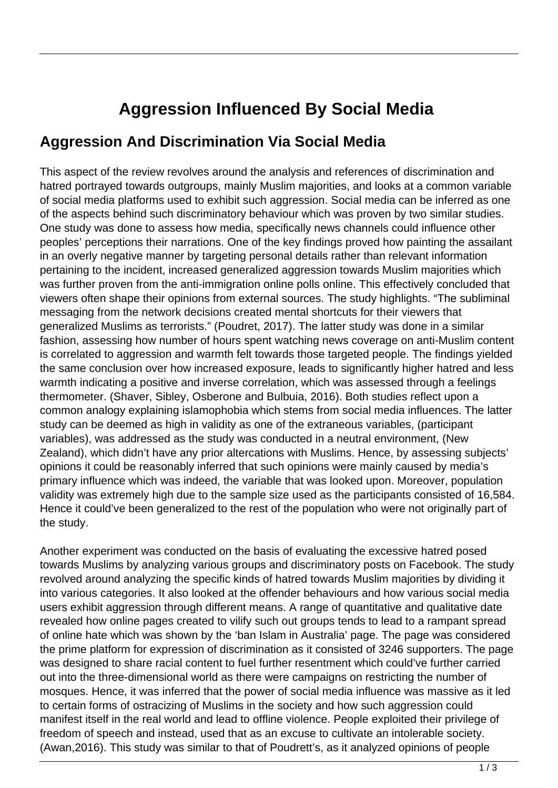## **Aggression Influenced By Social Media**

## **Aggression And Discrimination Via Social Media**

This aspect of the review revolves around the analysis and references of discrimination and hatred portrayed towards outgroups, mainly Muslim majorities, and looks at a common variable of social media platforms used to exhibit such aggression. Social media can be inferred as one of the aspects behind such discriminatory behaviour which was proven by two similar studies. One study was done to assess how media, specifically news channels could influence other peoples' perceptions their narrations. One of the key findings proved how painting the assailant in an overly negative manner by targeting personal details rather than relevant information pertaining to the incident, increased generalized aggression towards Muslim majorities which was further proven from the anti-immigration online polls online. This effectively concluded that viewers often shape their opinions from external sources. The study highlights. "The subliminal messaging from the network decisions created mental shortcuts for their viewers that generalized Muslims as terrorists." (Poudret, 2017). The latter study was done in a similar fashion, assessing how number of hours spent watching news coverage on anti-Muslim content is correlated to aggression and warmth felt towards those targeted people. The findings yielded the same conclusion over how increased exposure, leads to significantly higher hatred and less warmth indicating a positive and inverse correlation, which was assessed through a feelings thermometer. (Shaver, Sibley, Osberone and Bulbuia, 2016). Both studies reflect upon a common analogy explaining islamophobia which stems from social media influences. The latter study can be deemed as high in validity as one of the extraneous variables, (participant variables), was addressed as the study was conducted in a neutral environment, (New Zealand), which didn't have any prior altercations with Muslims. Hence, by assessing subjects' opinions it could be reasonably inferred that such opinions were mainly caused by media's primary influence which was indeed, the variable that was looked upon. Moreover, population validity was extremely high due to the sample size used as the participants consisted of 16,584. Hence it could've been generalized to the rest of the population who were not originally part of the study.

Another experiment was conducted on the basis of evaluating the excessive hatred posed towards Muslims by analyzing various groups and discriminatory posts on Facebook. The study revolved around analyzing the specific kinds of hatred towards Muslim majorities by dividing it into various categories. It also looked at the offender behaviours and how various social media users exhibit aggression through different means. A range of quantitative and qualitative date revealed how online pages created to vilify such out groups tends to lead to a rampant spread of online hate which was shown by the 'ban Islam in Australia' page. The page was considered the prime platform for expression of discrimination as it consisted of 3246 supporters. The page was designed to share racial content to fuel further resentment which could've further carried out into the three-dimensional world as there were campaigns on restricting the number of mosques. Hence, it was inferred that the power of social media influence was massive as it led to certain forms of ostracizing of Muslims in the society and how such aggression could manifest itself in the real world and lead to offline violence. People exploited their privilege of freedom of speech and instead, used that as an excuse to cultivate an intolerable society. (Awan,2016). This study was similar to that of Poudrett's, as it analyzed opinions of people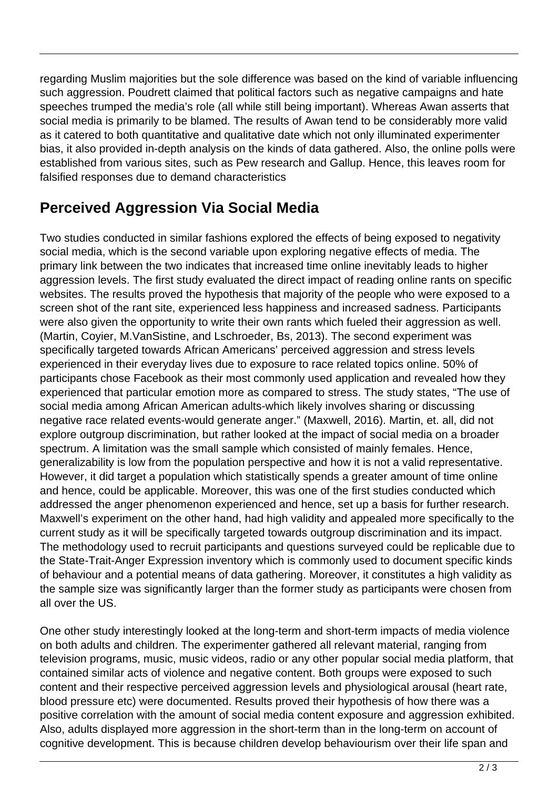regarding Muslim majorities but the sole difference was based on the kind of variable influencing such aggression. Poudrett claimed that political factors such as negative campaigns and hate speeches trumped the media's role (all while still being important). Whereas Awan asserts that social media is primarily to be blamed. The results of Awan tend to be considerably more valid as it catered to both quantitative and qualitative date which not only illuminated experimenter bias, it also provided in-depth analysis on the kinds of data gathered. Also, the online polls were established from various sites, such as Pew research and Gallup. Hence, this leaves room for falsified responses due to demand characteristics

## **Perceived Aggression Via Social Media**

Two studies conducted in similar fashions explored the effects of being exposed to negativity social media, which is the second variable upon exploring negative effects of media. The primary link between the two indicates that increased time online inevitably leads to higher aggression levels. The first study evaluated the direct impact of reading online rants on specific websites. The results proved the hypothesis that majority of the people who were exposed to a screen shot of the rant site, experienced less happiness and increased sadness. Participants were also given the opportunity to write their own rants which fueled their aggression as well. (Martin, Coyier, M.VanSistine, and Lschroeder, Bs, 2013). The second experiment was specifically targeted towards African Americans' perceived aggression and stress levels experienced in their everyday lives due to exposure to race related topics online. 50% of participants chose Facebook as their most commonly used application and revealed how they experienced that particular emotion more as compared to stress. The study states, "The use of social media among African American adults-which likely involves sharing or discussing negative race related events-would generate anger." (Maxwell, 2016). Martin, et. all, did not explore outgroup discrimination, but rather looked at the impact of social media on a broader spectrum. A limitation was the small sample which consisted of mainly females. Hence, generalizability is low from the population perspective and how it is not a valid representative. However, it did target a population which statistically spends a greater amount of time online and hence, could be applicable. Moreover, this was one of the first studies conducted which addressed the anger phenomenon experienced and hence, set up a basis for further research. Maxwell's experiment on the other hand, had high validity and appealed more specifically to the current study as it will be specifically targeted towards outgroup discrimination and its impact. The methodology used to recruit participants and questions surveyed could be replicable due to the State-Trait-Anger Expression inventory which is commonly used to document specific kinds of behaviour and a potential means of data gathering. Moreover, it constitutes a high validity as the sample size was significantly larger than the former study as participants were chosen from all over the US.

One other study interestingly looked at the long-term and short-term impacts of media violence on both adults and children. The experimenter gathered all relevant material, ranging from television programs, music, music videos, radio or any other popular social media platform, that contained similar acts of violence and negative content. Both groups were exposed to such content and their respective perceived aggression levels and physiological arousal (heart rate, blood pressure etc) were documented. Results proved their hypothesis of how there was a positive correlation with the amount of social media content exposure and aggression exhibited. Also, adults displayed more aggression in the short-term than in the long-term on account of cognitive development. This is because children develop behaviourism over their life span and